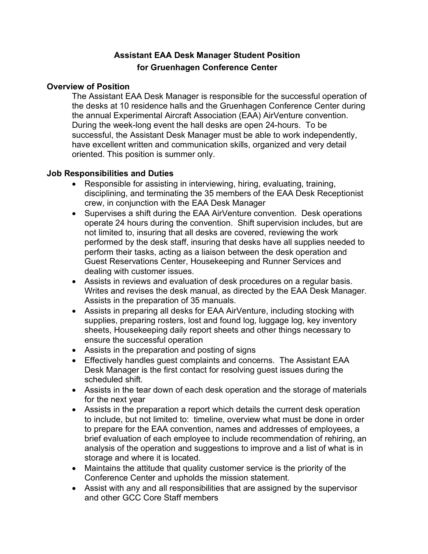# **Assistant EAA Desk Manager Student Position for Gruenhagen Conference Center**

#### **Overview of Position**

The Assistant EAA Desk Manager is responsible for the successful operation of the desks at 10 residence halls and the Gruenhagen Conference Center during the annual Experimental Aircraft Association (EAA) AirVenture convention. During the week-long event the hall desks are open 24-hours. To be successful, the Assistant Desk Manager must be able to work independently, have excellent written and communication skills, organized and very detail oriented. This position is summer only.

## **Job Responsibilities and Duties**

- Responsible for assisting in interviewing, hiring, evaluating, training, disciplining, and terminating the 35 members of the EAA Desk Receptionist crew, in conjunction with the EAA Desk Manager
- Supervises a shift during the EAA AirVenture convention. Desk operations operate 24 hours during the convention. Shift supervision includes, but are not limited to, insuring that all desks are covered, reviewing the work performed by the desk staff, insuring that desks have all supplies needed to perform their tasks, acting as a liaison between the desk operation and Guest Reservations Center, Housekeeping and Runner Services and dealing with customer issues.
- Assists in reviews and evaluation of desk procedures on a regular basis. Writes and revises the desk manual, as directed by the EAA Desk Manager. Assists in the preparation of 35 manuals.
- Assists in preparing all desks for EAA AirVenture, including stocking with supplies, preparing rosters, lost and found log, luggage log, key inventory sheets, Housekeeping daily report sheets and other things necessary to ensure the successful operation
- Assists in the preparation and posting of signs
- Effectively handles guest complaints and concerns. The Assistant EAA Desk Manager is the first contact for resolving guest issues during the scheduled shift.
- Assists in the tear down of each desk operation and the storage of materials for the next year
- Assists in the preparation a report which details the current desk operation to include, but not limited to: timeline, overview what must be done in order to prepare for the EAA convention, names and addresses of employees, a brief evaluation of each employee to include recommendation of rehiring, an analysis of the operation and suggestions to improve and a list of what is in storage and where it is located.
- Maintains the attitude that quality customer service is the priority of the Conference Center and upholds the mission statement.
- Assist with any and all responsibilities that are assigned by the supervisor and other GCC Core Staff members